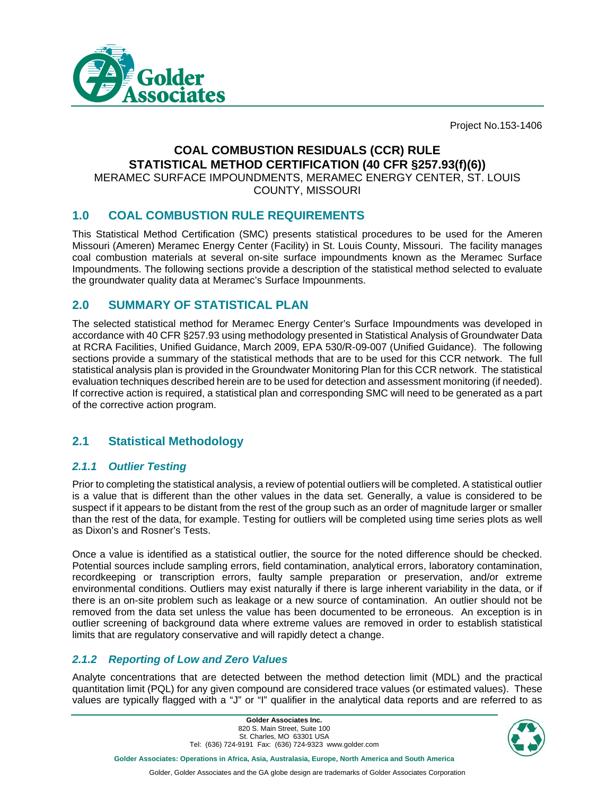

Project No.153-1406

#### **COAL COMBUSTION RESIDUALS (CCR) RULE STATISTICAL METHOD CERTIFICATION (40 CFR §257.93(f)(6))** MERAMEC SURFACE IMPOUNDMENTS, MERAMEC ENERGY CENTER, ST. LOUIS

COUNTY, MISSOURI

## **1.0 COAL COMBUSTION RULE REQUIREMENTS**

This Statistical Method Certification (SMC) presents statistical procedures to be used for the Ameren Missouri (Ameren) Meramec Energy Center (Facility) in St. Louis County, Missouri. The facility manages coal combustion materials at several on-site surface impoundments known as the Meramec Surface Impoundments. The following sections provide a description of the statistical method selected to evaluate the groundwater quality data at Meramec's Surface Impounments.

## **2.0 SUMMARY OF STATISTICAL PLAN**

The selected statistical method for Meramec Energy Center's Surface Impoundments was developed in accordance with 40 CFR §257.93 using methodology presented in Statistical Analysis of Groundwater Data at RCRA Facilities, Unified Guidance, March 2009, EPA 530/R-09-007 (Unified Guidance). The following sections provide a summary of the statistical methods that are to be used for this CCR network. The full statistical analysis plan is provided in the Groundwater Monitoring Plan for this CCR network. The statistical evaluation techniques described herein are to be used for detection and assessment monitoring (if needed). If corrective action is required, a statistical plan and corresponding SMC will need to be generated as a part of the corrective action program.

# **2.1 Statistical Methodology**

## *2.1.1 Outlier Testing*

Prior to completing the statistical analysis, a review of potential outliers will be completed. A statistical outlier is a value that is different than the other values in the data set. Generally, a value is considered to be suspect if it appears to be distant from the rest of the group such as an order of magnitude larger or smaller than the rest of the data, for example. Testing for outliers will be completed using time series plots as well as Dixon's and Rosner's Tests.

Once a value is identified as a statistical outlier, the source for the noted difference should be checked. Potential sources include sampling errors, field contamination, analytical errors, laboratory contamination, recordkeeping or transcription errors, faulty sample preparation or preservation, and/or extreme environmental conditions. Outliers may exist naturally if there is large inherent variability in the data, or if there is an on-site problem such as leakage or a new source of contamination. An outlier should not be removed from the data set unless the value has been documented to be erroneous. An exception is in outlier screening of background data where extreme values are removed in order to establish statistical limits that are regulatory conservative and will rapidly detect a change.

## *2.1.2 Reporting of Low and Zero Values*

Analyte concentrations that are detected between the method detection limit (MDL) and the practical quantitation limit (PQL) for any given compound are considered trace values (or estimated values). These values are typically flagged with a "J" or "I" qualifier in the analytical data reports and are referred to as

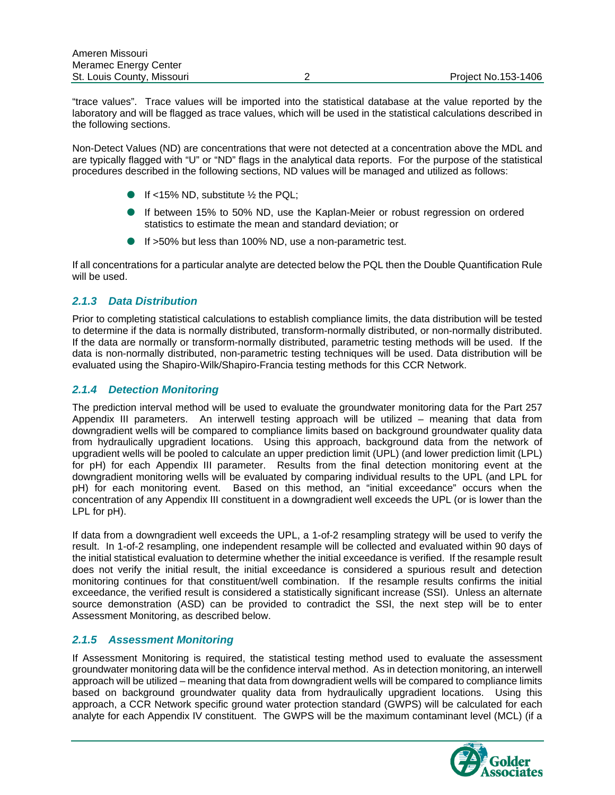"trace values". Trace values will be imported into the statistical database at the value reported by the laboratory and will be flagged as trace values, which will be used in the statistical calculations described in the following sections.

Non-Detect Values (ND) are concentrations that were not detected at a concentration above the MDL and are typically flagged with "U" or "ND" flags in the analytical data reports. For the purpose of the statistical procedures described in the following sections, ND values will be managed and utilized as follows:

- If <15% ND, substitute  $\frac{1}{2}$  the PQL;
- If between 15% to 50% ND, use the Kaplan-Meier or robust regression on ordered statistics to estimate the mean and standard deviation; or
- If >50% but less than 100% ND, use a non-parametric test.

If all concentrations for a particular analyte are detected below the PQL then the Double Quantification Rule will be used.

#### *2.1.3 Data Distribution*

Prior to completing statistical calculations to establish compliance limits, the data distribution will be tested to determine if the data is normally distributed, transform-normally distributed, or non-normally distributed. If the data are normally or transform-normally distributed, parametric testing methods will be used. If the data is non-normally distributed, non-parametric testing techniques will be used. Data distribution will be evaluated using the Shapiro-Wilk/Shapiro-Francia testing methods for this CCR Network.

#### *2.1.4 Detection Monitoring*

The prediction interval method will be used to evaluate the groundwater monitoring data for the Part 257 Appendix III parameters. An interwell testing approach will be utilized – meaning that data from downgradient wells will be compared to compliance limits based on background groundwater quality data from hydraulically upgradient locations. Using this approach, background data from the network of upgradient wells will be pooled to calculate an upper prediction limit (UPL) (and lower prediction limit (LPL) for pH) for each Appendix III parameter. Results from the final detection monitoring event at the downgradient monitoring wells will be evaluated by comparing individual results to the UPL (and LPL for pH) for each monitoring event. Based on this method, an "initial exceedance" occurs when the concentration of any Appendix III constituent in a downgradient well exceeds the UPL (or is lower than the LPL for pH).

If data from a downgradient well exceeds the UPL, a 1-of-2 resampling strategy will be used to verify the result. In 1-of-2 resampling, one independent resample will be collected and evaluated within 90 days of the initial statistical evaluation to determine whether the initial exceedance is verified. If the resample result does not verify the initial result, the initial exceedance is considered a spurious result and detection monitoring continues for that constituent/well combination. If the resample results confirms the initial exceedance, the verified result is considered a statistically significant increase (SSI). Unless an alternate source demonstration (ASD) can be provided to contradict the SSI, the next step will be to enter Assessment Monitoring, as described below.

#### *2.1.5 Assessment Monitoring*

If Assessment Monitoring is required, the statistical testing method used to evaluate the assessment groundwater monitoring data will be the confidence interval method. As in detection monitoring, an interwell approach will be utilized – meaning that data from downgradient wells will be compared to compliance limits based on background groundwater quality data from hydraulically upgradient locations. Using this approach, a CCR Network specific ground water protection standard (GWPS) will be calculated for each analyte for each Appendix IV constituent. The GWPS will be the maximum contaminant level (MCL) (if a

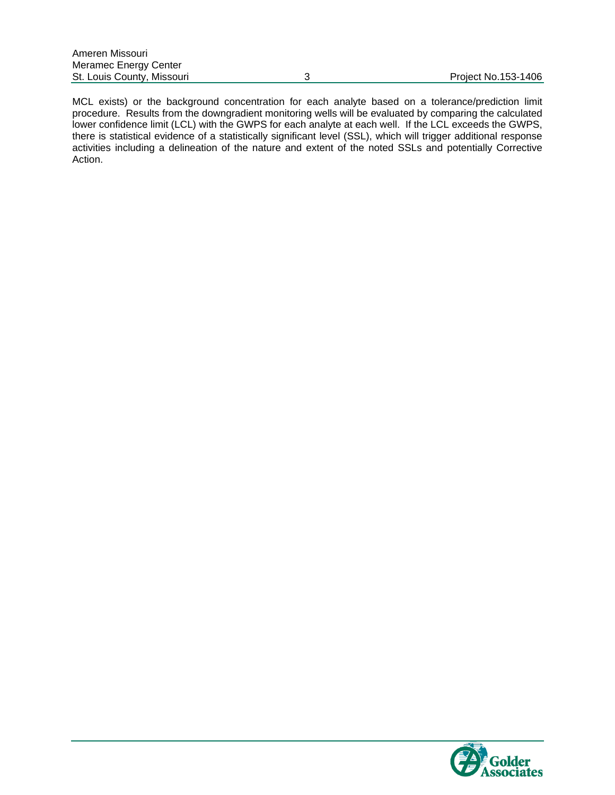MCL exists) or the background concentration for each analyte based on a tolerance/prediction limit procedure. Results from the downgradient monitoring wells will be evaluated by comparing the calculated lower confidence limit (LCL) with the GWPS for each analyte at each well. If the LCL exceeds the GWPS, there is statistical evidence of a statistically significant level (SSL), which will trigger additional response activities including a delineation of the nature and extent of the noted SSLs and potentially Corrective Action.